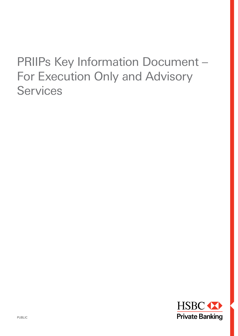# PRIIPs Key Information Document – For Execution Only and Advisory **Services**

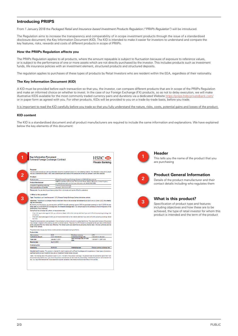# **Introducing PRIIPS**

From 1 January 2018 the *Packaged Retail and Insurance-based Investment Products Regulation ("PRIIPs Regulation")* will be introduced.

The Regulation aims to increase the transparency and comparability of in scope investment products through the issue of a standardised disclosure document; the Key Information Document (KID). The KID is intended to make it easier for investors to understand and compare the key features, risks, rewards and costs of different products in scope of PRIIPs.

#### **How the PRIIPs Regulation affects you**

The PRIIPs Regulation applies to all products, where the amount repayable is subject to fluctuation because of exposure to reference values, or is subject to the performance of one or more assets which are not directly purchased by the investor. This includes products such as investment funds, life insurance policies with an investment element, structured products and structured deposits.

The regulation applies to purchases of these types of products by Retail Investors who are resident within the EEA, regardless of their nationality.

#### **The Key Information Document (KID)**

A KID must be provided before each transaction so that you, the investor, can compare different products that are in scope of the PRIIPs Regulation and make an informed choice on whether to invest. In the case of our Foreign Exchange (FX) products, so as not to delay execution, we will make illustrative KIDS available for the most commonly traded currency pairs and durations via a dedicated Website https://priips.hsbcp or in paper form as agreed with you. For other products, KIDs will be provided to you on a trade-by-trade basis, before you trade.

It is important to read the KID carefully before you trade so that you fully understand the nature, risks, costs, potential gains and losses of the product.

#### **KID content**

The KID is a standardised document and all product manufacturers are required to include the same information and explanations. We have explained below the key elements of this document:

| This document provides you with key information about this investment product. It is not marketing material. The information is required by law to<br>help you understand the nature, risks, costs, potential gains and losses of this product and to help you compare it with other products.<br>Product<br><b>Product name</b><br>90 days Forward Foreign Exchange Contract on EUR/USD (the product)<br>HSBC Private Bank (UK) Limited, 78 St James's Street, SW1A 1JB London, United Kingdom,<br><b>Product Manufacturer</b><br>our website www.hsbc.com, for more information call +44 20 7860 5000<br>Competent regulatory authority<br><b>Financial Conduct Authority</b><br>January 5, 2018 13:31 CET<br>Date of production of the KID<br>Please note: You are about to purchase a product that is not simple and may be difficult to understand.<br>I. What is this product?<br>Type: The product is an "over-the-counter" (OTC) Forward Foreign Exchange Contract derivatives contract.<br>Objectives: The product is a complex financial instrument linked to the exchange rate between Euro (EUR) and US Dollar (USD) (the underly-<br>ing, see table below). |  |
|--------------------------------------------------------------------------------------------------------------------------------------------------------------------------------------------------------------------------------------------------------------------------------------------------------------------------------------------------------------------------------------------------------------------------------------------------------------------------------------------------------------------------------------------------------------------------------------------------------------------------------------------------------------------------------------------------------------------------------------------------------------------------------------------------------------------------------------------------------------------------------------------------------------------------------------------------------------------------------------------------------------------------------------------------------------------------------------------------------------------------------------------------------------------------|--|
|                                                                                                                                                                                                                                                                                                                                                                                                                                                                                                                                                                                                                                                                                                                                                                                                                                                                                                                                                                                                                                                                                                                                                                          |  |
|                                                                                                                                                                                                                                                                                                                                                                                                                                                                                                                                                                                                                                                                                                                                                                                                                                                                                                                                                                                                                                                                                                                                                                          |  |
|                                                                                                                                                                                                                                                                                                                                                                                                                                                                                                                                                                                                                                                                                                                                                                                                                                                                                                                                                                                                                                                                                                                                                                          |  |
|                                                                                                                                                                                                                                                                                                                                                                                                                                                                                                                                                                                                                                                                                                                                                                                                                                                                                                                                                                                                                                                                                                                                                                          |  |
|                                                                                                                                                                                                                                                                                                                                                                                                                                                                                                                                                                                                                                                                                                                                                                                                                                                                                                                                                                                                                                                                                                                                                                          |  |
|                                                                                                                                                                                                                                                                                                                                                                                                                                                                                                                                                                                                                                                                                                                                                                                                                                                                                                                                                                                                                                                                                                                                                                          |  |
|                                                                                                                                                                                                                                                                                                                                                                                                                                                                                                                                                                                                                                                                                                                                                                                                                                                                                                                                                                                                                                                                                                                                                                          |  |
|                                                                                                                                                                                                                                                                                                                                                                                                                                                                                                                                                                                                                                                                                                                                                                                                                                                                                                                                                                                                                                                                                                                                                                          |  |
|                                                                                                                                                                                                                                                                                                                                                                                                                                                                                                                                                                                                                                                                                                                                                                                                                                                                                                                                                                                                                                                                                                                                                                          |  |
|                                                                                                                                                                                                                                                                                                                                                                                                                                                                                                                                                                                                                                                                                                                                                                                                                                                                                                                                                                                                                                                                                                                                                                          |  |
|                                                                                                                                                                                                                                                                                                                                                                                                                                                                                                                                                                                                                                                                                                                                                                                                                                                                                                                                                                                                                                                                                                                                                                          |  |
|                                                                                                                                                                                                                                                                                                                                                                                                                                                                                                                                                                                                                                                                                                                                                                                                                                                                                                                                                                                                                                                                                                                                                                          |  |
|                                                                                                                                                                                                                                                                                                                                                                                                                                                                                                                                                                                                                                                                                                                                                                                                                                                                                                                                                                                                                                                                                                                                                                          |  |
| By entering into this product, you are required to sell EUR (the sale currency) against USD (the purchase currency) on April 5, 2018 (the ma-                                                                                                                                                                                                                                                                                                                                                                                                                                                                                                                                                                                                                                                                                                                                                                                                                                                                                                                                                                                                                            |  |
| turity date) at a fixed EUR/USD exchange rate (the forward exchange rate) in an amount equal to the contractual amount irrespective of the                                                                                                                                                                                                                                                                                                                                                                                                                                                                                                                                                                                                                                                                                                                                                                                                                                                                                                                                                                                                                               |  |
| performance of the underlying.<br>Having fixed the exchange rate upfront, on the expiration date:                                                                                                                                                                                                                                                                                                                                                                                                                                                                                                                                                                                                                                                                                                                                                                                                                                                                                                                                                                                                                                                                        |  |
| If the EUR appreciates against USD, you will receive fewer USD on the maturity date than if you sold EUR at the prevailing exchange rate                                                                                                                                                                                                                                                                                                                                                                                                                                                                                                                                                                                                                                                                                                                                                                                                                                                                                                                                                                                                                                 |  |
| at that time.                                                                                                                                                                                                                                                                                                                                                                                                                                                                                                                                                                                                                                                                                                                                                                                                                                                                                                                                                                                                                                                                                                                                                            |  |
| If the EUR depreciates against USD, you will receive more USD on the maturity date than if you sold EUR at the prevailing exchange rate at                                                                                                                                                                                                                                                                                                                                                                                                                                                                                                                                                                                                                                                                                                                                                                                                                                                                                                                                                                                                                               |  |
| that time.                                                                                                                                                                                                                                                                                                                                                                                                                                                                                                                                                                                                                                                                                                                                                                                                                                                                                                                                                                                                                                                                                                                                                               |  |
| The performance scenarios are expressed in the contractual currency only and in a prescribed format. The actual performances of the product<br>may change in respect to the currency you wish to hold at maturity. The price of an FX Forward is composed by the spot rate and the forward                                                                                                                                                                                                                                                                                                                                                                                                                                                                                                                                                                                                                                                                                                                                                                                                                                                                               |  |
| points calculated from the interest rate differential. The forward points are determined by prevailing interest rates in the two currencies and the                                                                                                                                                                                                                                                                                                                                                                                                                                                                                                                                                                                                                                                                                                                                                                                                                                                                                                                                                                                                                      |  |
| length of the contract.                                                                                                                                                                                                                                                                                                                                                                                                                                                                                                                                                                                                                                                                                                                                                                                                                                                                                                                                                                                                                                                                                                                                                  |  |
| The product does not pay any interest or other periodic compensation during its lifetime.                                                                                                                                                                                                                                                                                                                                                                                                                                                                                                                                                                                                                                                                                                                                                                                                                                                                                                                                                                                                                                                                                |  |
| <b>Product data:</b>                                                                                                                                                                                                                                                                                                                                                                                                                                                                                                                                                                                                                                                                                                                                                                                                                                                                                                                                                                                                                                                                                                                                                     |  |
| FUR<br><b>USD</b><br>Sale currency<br>Purchase currency                                                                                                                                                                                                                                                                                                                                                                                                                                                                                                                                                                                                                                                                                                                                                                                                                                                                                                                                                                                                                                                                                                                  |  |
| <b>Contractual amount</b><br><b>LUR 1000000.00</b><br>Forward exchange rate<br>1.00 EUR = 1.40 USD                                                                                                                                                                                                                                                                                                                                                                                                                                                                                                                                                                                                                                                                                                                                                                                                                                                                                                                                                                                                                                                                       |  |
| Spot exchange rate on trade<br>1.00 EUR = 1.2067 USD<br><b>Trade date</b><br>January 5, 2018<br>date                                                                                                                                                                                                                                                                                                                                                                                                                                                                                                                                                                                                                                                                                                                                                                                                                                                                                                                                                                                                                                                                     |  |
|                                                                                                                                                                                                                                                                                                                                                                                                                                                                                                                                                                                                                                                                                                                                                                                                                                                                                                                                                                                                                                                                                                                                                                          |  |
| April 5, 2018<br><b>Maturity date</b>                                                                                                                                                                                                                                                                                                                                                                                                                                                                                                                                                                                                                                                                                                                                                                                                                                                                                                                                                                                                                                                                                                                                    |  |
| <b>Underlying data:</b>                                                                                                                                                                                                                                                                                                                                                                                                                                                                                                                                                                                                                                                                                                                                                                                                                                                                                                                                                                                                                                                                                                                                                  |  |
| <b>EUR/USD</b><br><b>Underlying</b>                                                                                                                                                                                                                                                                                                                                                                                                                                                                                                                                                                                                                                                                                                                                                                                                                                                                                                                                                                                                                                                                                                                                      |  |
| <b>Underlying type</b><br>Foreign currency exchange rate                                                                                                                                                                                                                                                                                                                                                                                                                                                                                                                                                                                                                                                                                                                                                                                                                                                                                                                                                                                                                                                                                                                 |  |
| Intended retail investor: This product is intended for retail investors with sufficient knowledge and/or experience in these types of products, a<br>significant ability to bear investment loss and an investment horizon below one year.                                                                                                                                                                                                                                                                                                                                                                                                                                                                                                                                                                                                                                                                                                                                                                                                                                                                                                                               |  |



#### **Header**

This tells you the name of the product that you are purchasing



# **Product General Information**

Details of the product manufacturer and their contact details including who regulates them



#### **What is this product?**

Specification of product type and features including objectives and how these are to be achieved, the type of retail investor for whom this product is intended and the term of the product